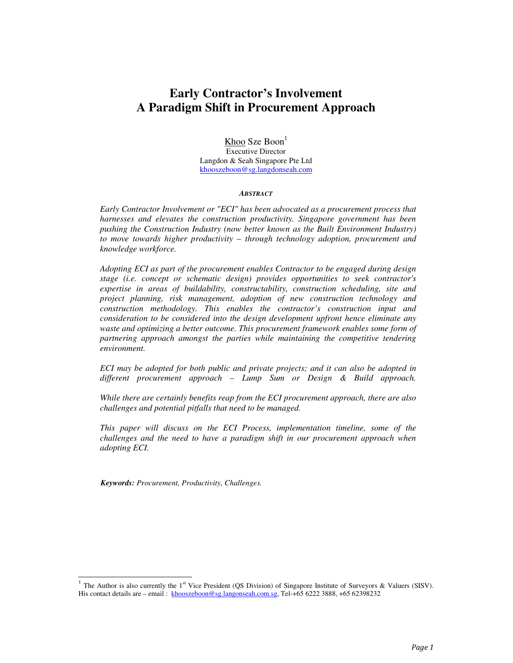# **Early Contractor's Involvement A Paradigm Shift in Procurement Approach**

Khoo Sze Boon $<sup>1</sup>$ </sup> Executive Director Langdon & Seah Singapore Pte Ltd khooszeboon@sg.langdonseah.com

#### *ABSTRACT*

*Early Contractor Involvement or "ECI" has been advocated as a procurement process that harnesses and elevates the construction productivity. Singapore government has been pushing the Construction Industry (now better known as the Built Environment Industry) to move towards higher productivity – through technology adoption, procurement and knowledge workforce.* 

*Adopting ECI as part of the procurement enables Contractor to be engaged during design stage (i.e. concept or schematic design) provides opportunities to seek contractor's expertise in areas of buildability, constructability, construction scheduling, site and project planning, risk management, adoption of new construction technology and construction methodology. This enables the contractor's construction input and consideration to be considered into the design development upfront hence eliminate any waste and optimizing a better outcome. This procurement framework enables some form of partnering approach amongst the parties while maintaining the competitive tendering environment.* 

*ECI may be adopted for both public and private projects; and it can also be adopted in different procurement approach – Lump Sum or Design & Build approach.* 

*While there are certainly benefits reap from the ECI procurement approach, there are also challenges and potential pitfalls that need to be managed.* 

*This paper will discuss on the ECI Process, implementation timeline, some of the challenges and the need to have a paradigm shift in our procurement approach when adopting ECI.* 

*Keywords: Procurement, Productivity, Challenges.* 

 $\overline{a}$ 

<sup>&</sup>lt;sup>1</sup> The Author is also currently the 1<sup>st</sup> Vice President (QS Division) of Singapore Institute of Surveyors & Valuers (SISV). His contact details are – email : khooszeboon@sg.langonseah.com.sg, Tel-+65 6222 3888, +65 62398232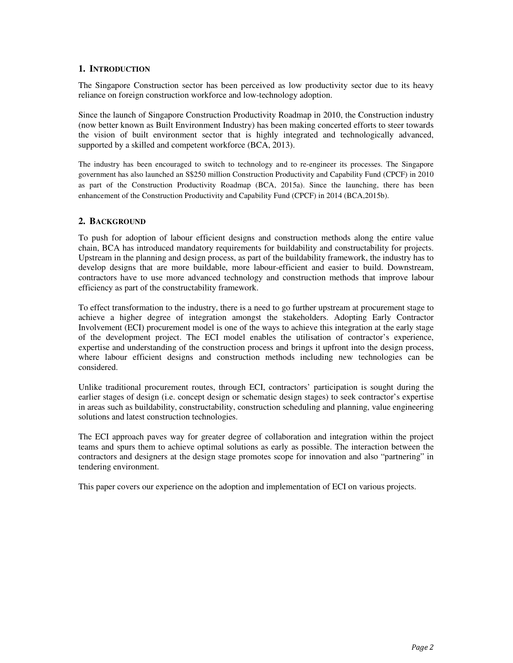### **1. INTRODUCTION**

The Singapore Construction sector has been perceived as low productivity sector due to its heavy reliance on foreign construction workforce and low-technology adoption.

Since the launch of Singapore Construction Productivity Roadmap in 2010, the Construction industry (now better known as Built Environment Industry) has been making concerted efforts to steer towards the vision of built environment sector that is highly integrated and technologically advanced, supported by a skilled and competent workforce (BCA, 2013).

The industry has been encouraged to switch to technology and to re-engineer its processes. The Singapore government has also launched an S\$250 million Construction Productivity and Capability Fund (CPCF) in 2010 as part of the Construction Productivity Roadmap (BCA, 2015a). Since the launching, there has been enhancement of the Construction Productivity and Capability Fund (CPCF) in 2014 (BCA,2015b).

### **2. BACKGROUND**

To push for adoption of labour efficient designs and construction methods along the entire value chain, BCA has introduced mandatory requirements for buildability and constructability for projects. Upstream in the planning and design process, as part of the buildability framework, the industry has to develop designs that are more buildable, more labour-efficient and easier to build. Downstream, contractors have to use more advanced technology and construction methods that improve labour efficiency as part of the constructability framework.

To effect transformation to the industry, there is a need to go further upstream at procurement stage to achieve a higher degree of integration amongst the stakeholders. Adopting Early Contractor Involvement (ECI) procurement model is one of the ways to achieve this integration at the early stage of the development project. The ECI model enables the utilisation of contractor's experience, expertise and understanding of the construction process and brings it upfront into the design process, where labour efficient designs and construction methods including new technologies can be considered.

Unlike traditional procurement routes, through ECI, contractors' participation is sought during the earlier stages of design (i.e. concept design or schematic design stages) to seek contractor's expertise in areas such as buildability, constructability, construction scheduling and planning, value engineering solutions and latest construction technologies.

The ECI approach paves way for greater degree of collaboration and integration within the project teams and spurs them to achieve optimal solutions as early as possible. The interaction between the contractors and designers at the design stage promotes scope for innovation and also "partnering" in tendering environment.

This paper covers our experience on the adoption and implementation of ECI on various projects.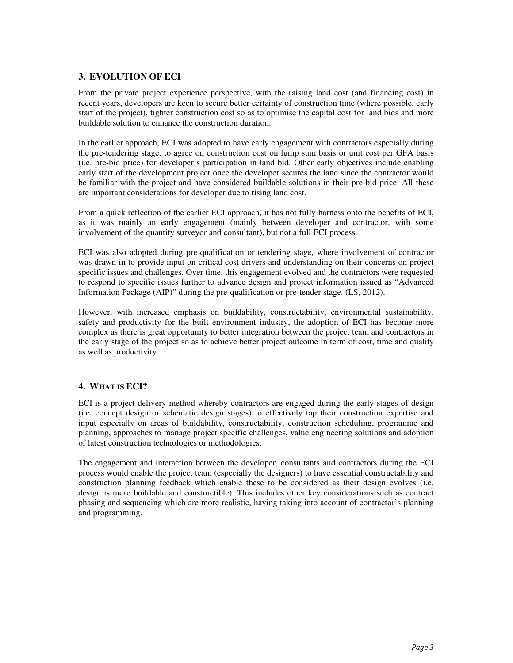# **3. EVOLUTION OF ECI**

From the private project experience perspective, with the raising land cost (and financing cost) in recent years, developers are keen to secure better certainty of construction time (where possible, early start of the project), tighter construction cost so as to optimise the capital cost for land bids and more buildable solution to enhance the construction duration.

In the earlier approach, ECI was adopted to have early engagement with contractors especially during the pre-tendering stage, to agree on construction cost on lump sum basis or unit cost per GFA basis (i.e. pre-bid price) for developer's participation in land bid. Other early objectives include enabling early start of the development project once the developer secures the land since the contractor would be familiar with the project and have considered buildable solutions in their pre-bid price. All these are important considerations for developer due to rising land cost.

From a quick reflection of the earlier ECI approach, it has not fully harness onto the benefits of ECI, as it was mainly an early engagement (mainly between developer and contractor, with some involvement of the quantity surveyor and consultant), but not a full ECI process.

ECI was also adopted during pre-qualification or tendering stage, where involvement of contractor was drawn in to provide input on critical cost drivers and understanding on their concerns on project specific issues and challenges. Over time, this engagement evolved and the contractors were requested to respond to specific issues further to advance design and project information issued as "Advanced Information Package (AIP)" during the pre-qualification or pre-tender stage. (LS, 2012).

However, with increased emphasis on buildability, constructability, environmental sustainability, safety and productivity for the built environment industry, the adoption of ECI has become more complex as there is great opportunity to better integration between the project team and contractors in the early stage of the project so as to achieve better project outcome in term of cost, time and quality as well as productivity.

# **4. WHAT IS ECI?**

ECI is a project delivery method whereby contractors are engaged during the early stages of design (i.e. concept design or schematic design stages) to effectively tap their construction expertise and input especially on areas of buildability, constructability, construction scheduling, programme and planning, approaches to manage project specific challenges, value engineering solutions and adoption of latest construction technologies or methodologies.

The engagement and interaction between the developer, consultants and contractors during the ECI process would enable the project team (especially the designers) to have essential constructability and construction planning feedback which enable these to be considered as their design evolves (i.e. design is more buildable and constructible). This includes other key considerations such as contract phasing and sequencing which are more realistic, having taking into account of contractor's planning and programming.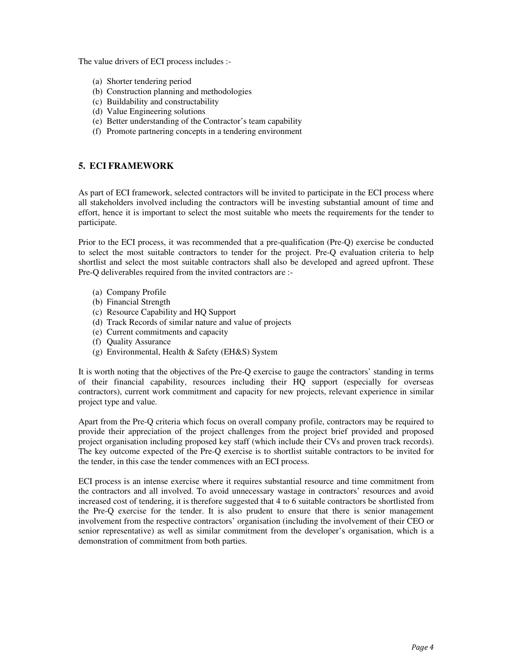The value drivers of ECI process includes :-

- (a) Shorter tendering period
- (b) Construction planning and methodologies
- (c) Buildability and constructability
- (d) Value Engineering solutions
- (e) Better understanding of the Contractor's team capability
- (f) Promote partnering concepts in a tendering environment

# **5. ECI FRAMEWORK**

As part of ECI framework, selected contractors will be invited to participate in the ECI process where all stakeholders involved including the contractors will be investing substantial amount of time and effort, hence it is important to select the most suitable who meets the requirements for the tender to participate.

Prior to the ECI process, it was recommended that a pre-qualification (Pre-Q) exercise be conducted to select the most suitable contractors to tender for the project. Pre-Q evaluation criteria to help shortlist and select the most suitable contractors shall also be developed and agreed upfront. These Pre-Q deliverables required from the invited contractors are :-

- (a) Company Profile
- (b) Financial Strength
- (c) Resource Capability and HQ Support
- (d) Track Records of similar nature and value of projects
- (e) Current commitments and capacity
- (f) Quality Assurance
- (g) Environmental, Health & Safety (EH&S) System

It is worth noting that the objectives of the Pre-Q exercise to gauge the contractors' standing in terms of their financial capability, resources including their HQ support (especially for overseas contractors), current work commitment and capacity for new projects, relevant experience in similar project type and value.

Apart from the Pre-Q criteria which focus on overall company profile, contractors may be required to provide their appreciation of the project challenges from the project brief provided and proposed project organisation including proposed key staff (which include their CVs and proven track records). The key outcome expected of the Pre-Q exercise is to shortlist suitable contractors to be invited for the tender, in this case the tender commences with an ECI process.

ECI process is an intense exercise where it requires substantial resource and time commitment from the contractors and all involved. To avoid unnecessary wastage in contractors' resources and avoid increased cost of tendering, it is therefore suggested that 4 to 6 suitable contractors be shortlisted from the Pre-Q exercise for the tender. It is also prudent to ensure that there is senior management involvement from the respective contractors' organisation (including the involvement of their CEO or senior representative) as well as similar commitment from the developer's organisation, which is a demonstration of commitment from both parties.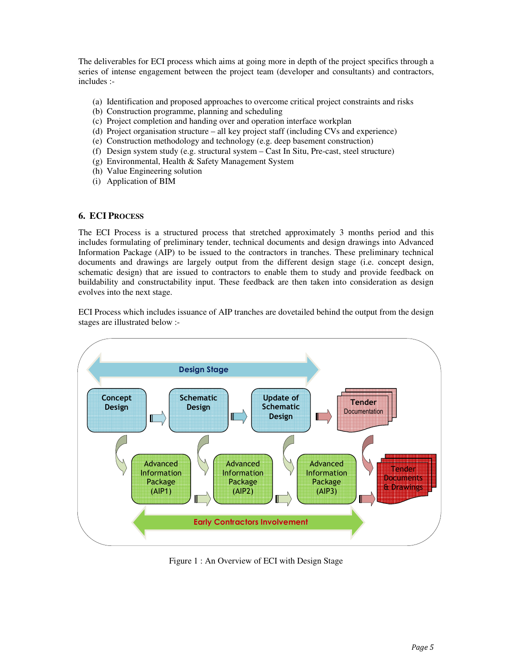The deliverables for ECI process which aims at going more in depth of the project specifics through a series of intense engagement between the project team (developer and consultants) and contractors, includes :-

- (a) Identification and proposed approaches to overcome critical project constraints and risks
- (b) Construction programme, planning and scheduling
- (c) Project completion and handing over and operation interface workplan
- (d) Project organisation structure all key project staff (including CVs and experience)
- (e) Construction methodology and technology (e.g. deep basement construction)
- (f) Design system study (e.g. structural system Cast In Situ, Pre-cast, steel structure)
- (g) Environmental, Health & Safety Management System
- (h) Value Engineering solution
- (i) Application of BIM

### **6. ECI PROCESS**

The ECI Process is a structured process that stretched approximately 3 months period and this includes formulating of preliminary tender, technical documents and design drawings into Advanced Information Package (AIP) to be issued to the contractors in tranches. These preliminary technical documents and drawings are largely output from the different design stage (i.e. concept design, schematic design) that are issued to contractors to enable them to study and provide feedback on buildability and constructability input. These feedback are then taken into consideration as design evolves into the next stage.

ECI Process which includes issuance of AIP tranches are dovetailed behind the output from the design stages are illustrated below :-



Figure 1 : An Overview of ECI with Design Stage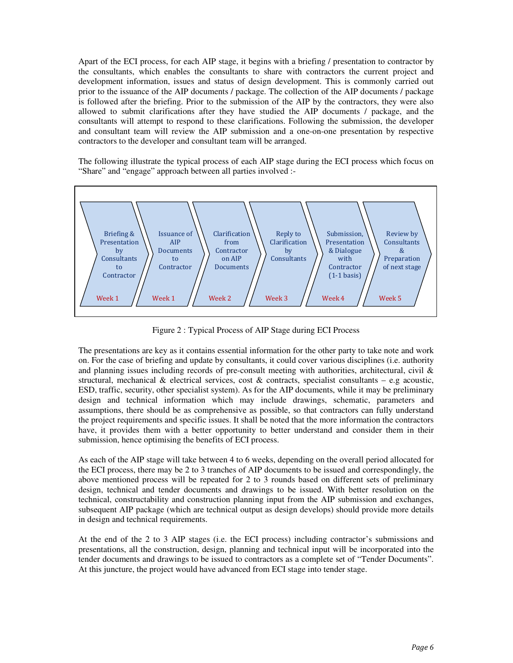Apart of the ECI process, for each AIP stage, it begins with a briefing / presentation to contractor by the consultants, which enables the consultants to share with contractors the current project and development information, issues and status of design development. This is commonly carried out prior to the issuance of the AIP documents / package. The collection of the AIP documents / package is followed after the briefing. Prior to the submission of the AIP by the contractors, they were also allowed to submit clarifications after they have studied the AIP documents / package, and the consultants will attempt to respond to these clarifications. Following the submission, the developer and consultant team will review the AIP submission and a one-on-one presentation by respective contractors to the developer and consultant team will be arranged.

The following illustrate the typical process of each AIP stage during the ECI process which focus on "Share" and "engage" approach between all parties involved :-



Figure 2 : Typical Process of AIP Stage during ECI Process

The presentations are key as it contains essential information for the other party to take note and work on. For the case of briefing and update by consultants, it could cover various disciplines (i.e. authority and planning issues including records of pre-consult meeting with authorities, architectural, civil & structural, mechanical  $\&$  electrical services, cost  $\&$  contracts, specialist consultants – e.g acoustic, ESD, traffic, security, other specialist system). As for the AIP documents, while it may be preliminary design and technical information which may include drawings, schematic, parameters and assumptions, there should be as comprehensive as possible, so that contractors can fully understand the project requirements and specific issues. It shall be noted that the more information the contractors have, it provides them with a better opportunity to better understand and consider them in their submission, hence optimising the benefits of ECI process.

As each of the AIP stage will take between 4 to 6 weeks, depending on the overall period allocated for the ECI process, there may be 2 to 3 tranches of AIP documents to be issued and correspondingly, the above mentioned process will be repeated for 2 to 3 rounds based on different sets of preliminary design, technical and tender documents and drawings to be issued. With better resolution on the technical, constructability and construction planning input from the AIP submission and exchanges, subsequent AIP package (which are technical output as design develops) should provide more details in design and technical requirements.

At the end of the 2 to 3 AIP stages (i.e. the ECI process) including contractor's submissions and presentations, all the construction, design, planning and technical input will be incorporated into the tender documents and drawings to be issued to contractors as a complete set of "Tender Documents". At this juncture, the project would have advanced from ECI stage into tender stage.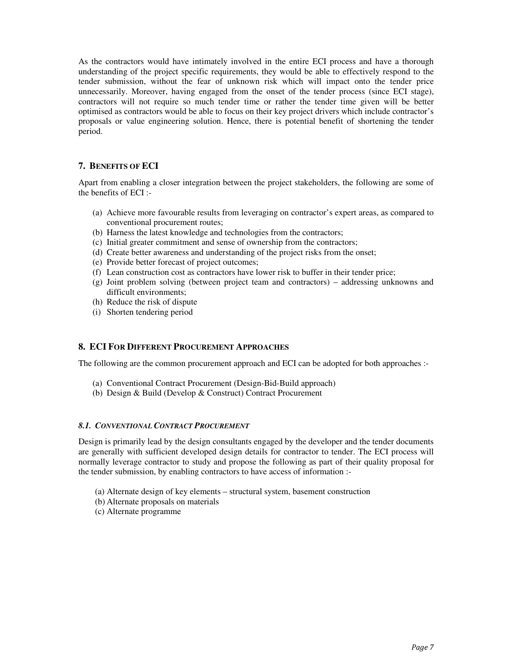As the contractors would have intimately involved in the entire ECI process and have a thorough understanding of the project specific requirements, they would be able to effectively respond to the tender submission, without the fear of unknown risk which will impact onto the tender price unnecessarily. Moreover, having engaged from the onset of the tender process (since ECI stage), contractors will not require so much tender time or rather the tender time given will be better optimised as contractors would be able to focus on their key project drivers which include contractor's proposals or value engineering solution. Hence, there is potential benefit of shortening the tender period.

### **7. BENEFITS OF ECI**

Apart from enabling a closer integration between the project stakeholders, the following are some of the benefits of ECI :-

- (a) Achieve more favourable results from leveraging on contractor's expert areas, as compared to conventional procurement routes;
- (b) Harness the latest knowledge and technologies from the contractors;
- (c) Initial greater commitment and sense of ownership from the contractors;
- (d) Create better awareness and understanding of the project risks from the onset;
- (e) Provide better forecast of project outcomes;
- (f) Lean construction cost as contractors have lower risk to buffer in their tender price;
- (g) Joint problem solving (between project team and contractors) addressing unknowns and difficult environments;
- (h) Reduce the risk of dispute
- (i) Shorten tendering period

#### **8. ECI FOR DIFFERENT PROCUREMENT APPROACHES**

The following are the common procurement approach and ECI can be adopted for both approaches :-

- (a) Conventional Contract Procurement (Design-Bid-Build approach)
- (b) Design & Build (Develop & Construct) Contract Procurement

#### *8.1. CONVENTIONAL CONTRACT PROCUREMENT*

Design is primarily lead by the design consultants engaged by the developer and the tender documents are generally with sufficient developed design details for contractor to tender. The ECI process will normally leverage contractor to study and propose the following as part of their quality proposal for the tender submission, by enabling contractors to have access of information :-

- (a) Alternate design of key elements structural system, basement construction
- (b) Alternate proposals on materials
- (c) Alternate programme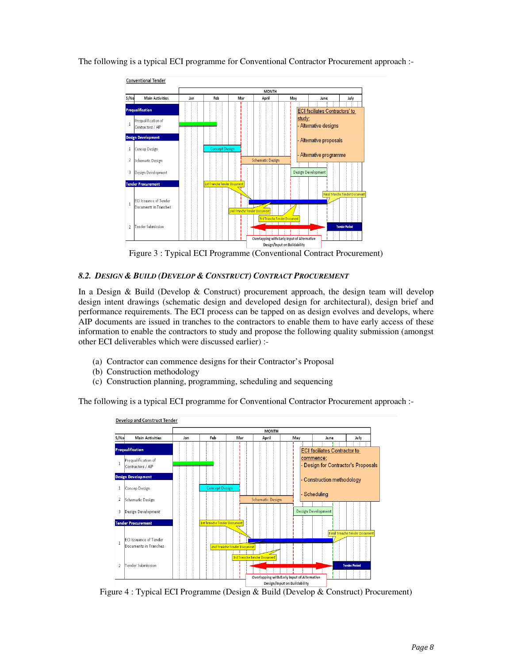

The following is a typical ECI programme for Conventional Contractor Procurement approach :-

Figure 3 : Typical ECI Programme (Conventional Contract Procurement)

#### *8.2. DESIGN & BUILD (DEVELOP & CONSTRUCT) CONTRACT PROCUREMENT*

In a Design & Build (Develop & Construct) procurement approach, the design team will develop design intent drawings (schematic design and developed design for architectural), design brief and performance requirements. The ECI process can be tapped on as design evolves and develops, where AIP documents are issued in tranches to the contractors to enable them to have early access of these information to enable the contractors to study and propose the following quality submission (amongst other ECI deliverables which were discussed earlier) :-

- (a) Contractor can commence designs for their Contractor's Proposal
- (b) Construction methodology
- (c) Construction planning, programming, scheduling and sequencing

The following is a typical ECI programme for Conventional Contractor Procurement approach :-



Figure 4 : Typical ECI Programme (Design & Build (Develop & Construct) Procurement)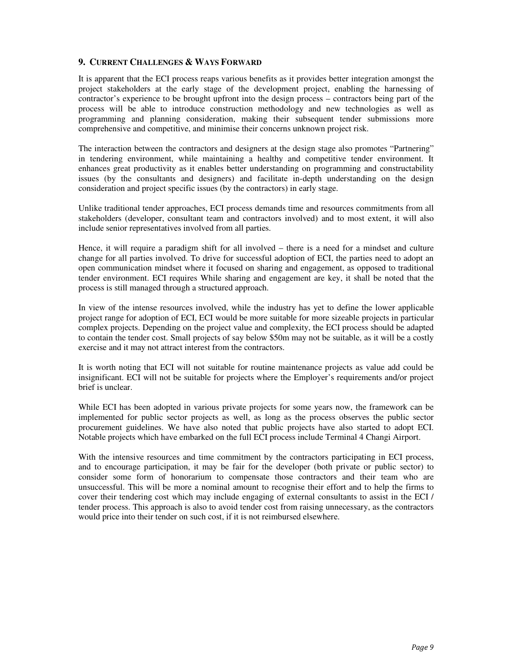### **9. CURRENT CHALLENGES & WAYS FORWARD**

It is apparent that the ECI process reaps various benefits as it provides better integration amongst the project stakeholders at the early stage of the development project, enabling the harnessing of contractor's experience to be brought upfront into the design process – contractors being part of the process will be able to introduce construction methodology and new technologies as well as programming and planning consideration, making their subsequent tender submissions more comprehensive and competitive, and minimise their concerns unknown project risk.

The interaction between the contractors and designers at the design stage also promotes "Partnering" in tendering environment, while maintaining a healthy and competitive tender environment. It enhances great productivity as it enables better understanding on programming and constructability issues (by the consultants and designers) and facilitate in-depth understanding on the design consideration and project specific issues (by the contractors) in early stage.

Unlike traditional tender approaches, ECI process demands time and resources commitments from all stakeholders (developer, consultant team and contractors involved) and to most extent, it will also include senior representatives involved from all parties.

Hence, it will require a paradigm shift for all involved – there is a need for a mindset and culture change for all parties involved. To drive for successful adoption of ECI, the parties need to adopt an open communication mindset where it focused on sharing and engagement, as opposed to traditional tender environment. ECI requires While sharing and engagement are key, it shall be noted that the process is still managed through a structured approach.

In view of the intense resources involved, while the industry has yet to define the lower applicable project range for adoption of ECI, ECI would be more suitable for more sizeable projects in particular complex projects. Depending on the project value and complexity, the ECI process should be adapted to contain the tender cost. Small projects of say below \$50m may not be suitable, as it will be a costly exercise and it may not attract interest from the contractors.

It is worth noting that ECI will not suitable for routine maintenance projects as value add could be insignificant. ECI will not be suitable for projects where the Employer's requirements and/or project brief is unclear.

While ECI has been adopted in various private projects for some years now, the framework can be implemented for public sector projects as well, as long as the process observes the public sector procurement guidelines. We have also noted that public projects have also started to adopt ECI. Notable projects which have embarked on the full ECI process include Terminal 4 Changi Airport.

With the intensive resources and time commitment by the contractors participating in ECI process, and to encourage participation, it may be fair for the developer (both private or public sector) to consider some form of honorarium to compensate those contractors and their team who are unsuccessful. This will be more a nominal amount to recognise their effort and to help the firms to cover their tendering cost which may include engaging of external consultants to assist in the ECI / tender process. This approach is also to avoid tender cost from raising unnecessary, as the contractors would price into their tender on such cost, if it is not reimbursed elsewhere.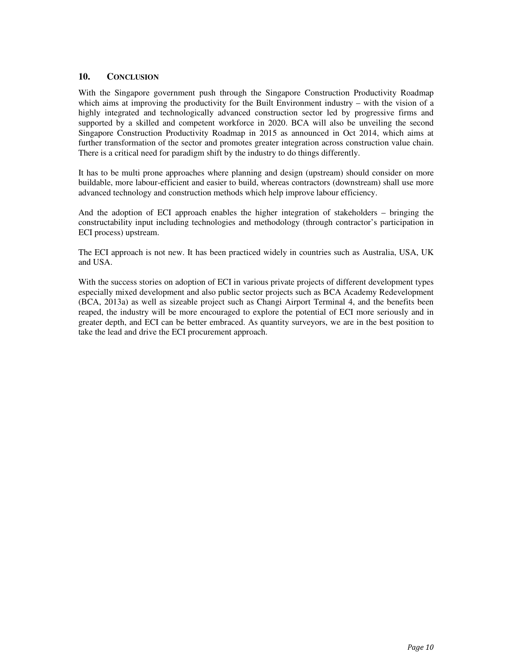### **10. CONCLUSION**

With the Singapore government push through the Singapore Construction Productivity Roadmap which aims at improving the productivity for the Built Environment industry – with the vision of a highly integrated and technologically advanced construction sector led by progressive firms and supported by a skilled and competent workforce in 2020. BCA will also be unveiling the second Singapore Construction Productivity Roadmap in 2015 as announced in Oct 2014, which aims at further transformation of the sector and promotes greater integration across construction value chain. There is a critical need for paradigm shift by the industry to do things differently.

It has to be multi prone approaches where planning and design (upstream) should consider on more buildable, more labour-efficient and easier to build, whereas contractors (downstream) shall use more advanced technology and construction methods which help improve labour efficiency.

And the adoption of ECI approach enables the higher integration of stakeholders – bringing the constructability input including technologies and methodology (through contractor's participation in ECI process) upstream.

The ECI approach is not new. It has been practiced widely in countries such as Australia, USA, UK and USA.

With the success stories on adoption of ECI in various private projects of different development types especially mixed development and also public sector projects such as BCA Academy Redevelopment (BCA, 2013a) as well as sizeable project such as Changi Airport Terminal 4, and the benefits been reaped, the industry will be more encouraged to explore the potential of ECI more seriously and in greater depth, and ECI can be better embraced. As quantity surveyors, we are in the best position to take the lead and drive the ECI procurement approach.